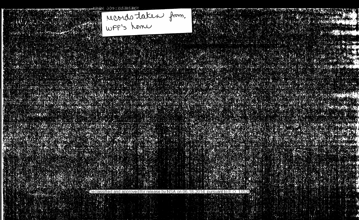Meords taken from. 

## 

MARKA ING

Declassified and approved for release by NSA on 06-18-2014 pursuant to E.O. 13526 2014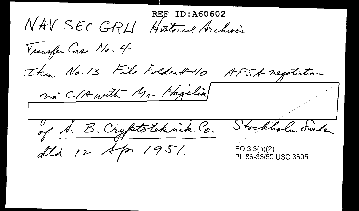: 460602 NAV SEC GRU Historial Archives Vransfer Case No. 4 Item No. 13 File Folder#40 AFSA negotiation ma C/A with Mr. Hagelin Stockholm Sweden of A. B. Cryptoteknik Co. attd 12 Apr 1951.  $EO 3.3(h)(2)$ PL 86-36/50 USC 3605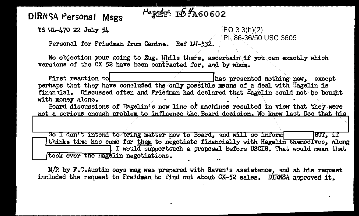## DIRNSA Personal Msgs

TS WI-470 22 July 54

 $EO 3.3(h)(2)$ PL 86-36/50 USC 3605

Personal for Friedman from Canine. Ref IM-532.

No objection your going to Zug. While there, ascertain if you can exactly which versions of the CX 52 have been contracted for, and by whom.

HARET ID. A60602

First reaction to has presented nothing new. except perhaps that they have concluded the only possible means of a deal with Hagelin is financial. Discussed often and Friedman had declared that Hagelin could not be bought with money alone.

Board discussions of Hagelin's now line of machines resulted in view that they were not a serious enough problem to influence the Board decision. We knew last Dec that his

So I don't intend to bring matter now to Board, and will so inform BUT, if thinks time has come for them to negotiate financially with Hagelin themselves, along I would supportsuch a proposal before USCIB. That would mean that took over the Hagelin negotiations.

M/R by F.C. Austin says msg was prepared with Raven's assistance, and at his request included the request to Freidman to find out about CX-52 sales. DIRNSA approved it.